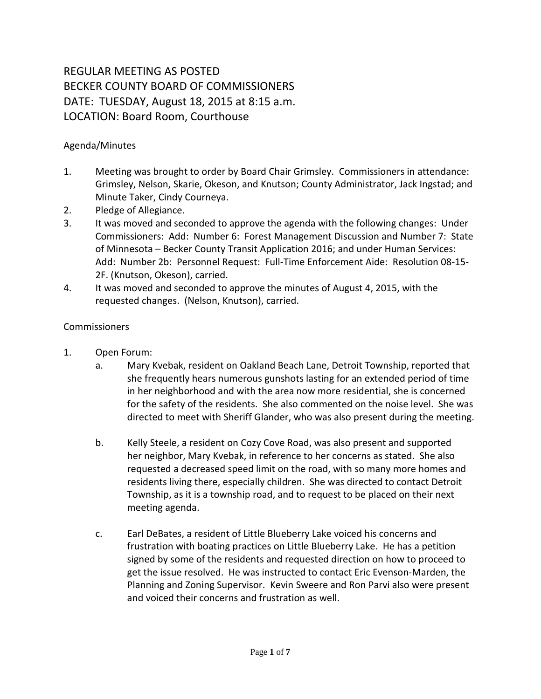## REGULAR MEETING AS POSTED BECKER COUNTY BOARD OF COMMISSIONERS DATE: TUESDAY, August 18, 2015 at 8:15 a.m. LOCATION: Board Room, Courthouse

## Agenda/Minutes

- 1. Meeting was brought to order by Board Chair Grimsley. Commissioners in attendance: Grimsley, Nelson, Skarie, Okeson, and Knutson; County Administrator, Jack Ingstad; and Minute Taker, Cindy Courneya.
- 2. Pledge of Allegiance.
- 3. It was moved and seconded to approve the agenda with the following changes: Under Commissioners: Add: Number 6: Forest Management Discussion and Number 7: State of Minnesota – Becker County Transit Application 2016; and under Human Services: Add: Number 2b: Personnel Request: Full-Time Enforcement Aide: Resolution 08-15- 2F. (Knutson, Okeson), carried.
- 4. It was moved and seconded to approve the minutes of August 4, 2015, with the requested changes. (Nelson, Knutson), carried.

## **Commissioners**

- 1. Open Forum:
	- a. Mary Kvebak, resident on Oakland Beach Lane, Detroit Township, reported that she frequently hears numerous gunshots lasting for an extended period of time in her neighborhood and with the area now more residential, she is concerned for the safety of the residents. She also commented on the noise level. She was directed to meet with Sheriff Glander, who was also present during the meeting.
	- b. Kelly Steele, a resident on Cozy Cove Road, was also present and supported her neighbor, Mary Kvebak, in reference to her concerns as stated. She also requested a decreased speed limit on the road, with so many more homes and residents living there, especially children. She was directed to contact Detroit Township, as it is a township road, and to request to be placed on their next meeting agenda.
	- c. Earl DeBates, a resident of Little Blueberry Lake voiced his concerns and frustration with boating practices on Little Blueberry Lake. He has a petition signed by some of the residents and requested direction on how to proceed to get the issue resolved. He was instructed to contact Eric Evenson-Marden, the Planning and Zoning Supervisor. Kevin Sweere and Ron Parvi also were present and voiced their concerns and frustration as well.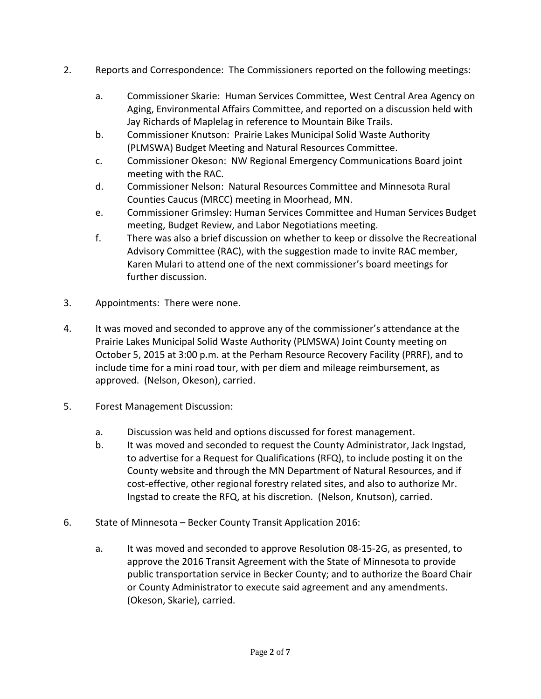- 2. Reports and Correspondence: The Commissioners reported on the following meetings:
	- a. Commissioner Skarie: Human Services Committee, West Central Area Agency on Aging, Environmental Affairs Committee, and reported on a discussion held with Jay Richards of Maplelag in reference to Mountain Bike Trails.
	- b. Commissioner Knutson: Prairie Lakes Municipal Solid Waste Authority (PLMSWA) Budget Meeting and Natural Resources Committee.
	- c. Commissioner Okeson: NW Regional Emergency Communications Board joint meeting with the RAC.
	- d. Commissioner Nelson: Natural Resources Committee and Minnesota Rural Counties Caucus (MRCC) meeting in Moorhead, MN.
	- e. Commissioner Grimsley: Human Services Committee and Human Services Budget meeting, Budget Review, and Labor Negotiations meeting.
	- f. There was also a brief discussion on whether to keep or dissolve the Recreational Advisory Committee (RAC), with the suggestion made to invite RAC member, Karen Mulari to attend one of the next commissioner's board meetings for further discussion.
- 3. Appointments: There were none.
- 4. It was moved and seconded to approve any of the commissioner's attendance at the Prairie Lakes Municipal Solid Waste Authority (PLMSWA) Joint County meeting on October 5, 2015 at 3:00 p.m. at the Perham Resource Recovery Facility (PRRF), and to include time for a mini road tour, with per diem and mileage reimbursement, as approved. (Nelson, Okeson), carried.
- 5. Forest Management Discussion:
	- a. Discussion was held and options discussed for forest management.
	- b. It was moved and seconded to request the County Administrator, Jack Ingstad, to advertise for a Request for Qualifications (RFQ), to include posting it on the County website and through the MN Department of Natural Resources, and if cost-effective, other regional forestry related sites, and also to authorize Mr. Ingstad to create the RFQ, at his discretion. (Nelson, Knutson), carried.
- 6. State of Minnesota Becker County Transit Application 2016:
	- a. It was moved and seconded to approve Resolution 08-15-2G, as presented, to approve the 2016 Transit Agreement with the State of Minnesota to provide public transportation service in Becker County; and to authorize the Board Chair or County Administrator to execute said agreement and any amendments. (Okeson, Skarie), carried.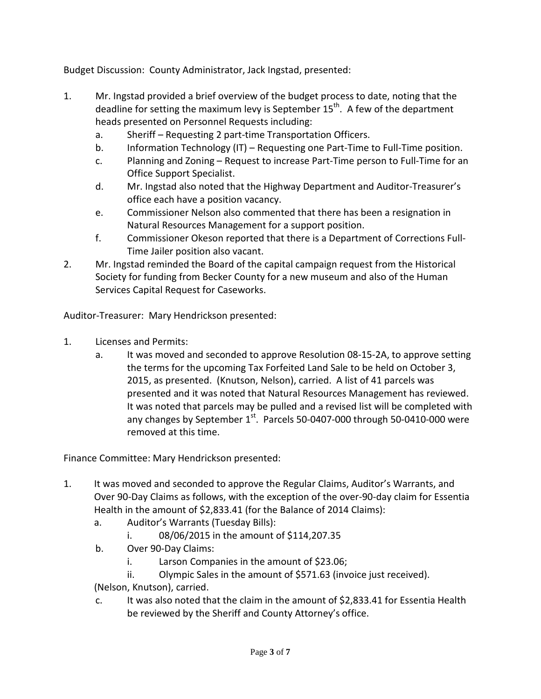Budget Discussion: County Administrator, Jack Ingstad, presented:

- 1. Mr. Ingstad provided a brief overview of the budget process to date, noting that the deadline for setting the maximum levy is September  $15<sup>th</sup>$ . A few of the department heads presented on Personnel Requests including:
	- a. Sheriff Requesting 2 part-time Transportation Officers.
	- b. Information Technology (IT) Requesting one Part-Time to Full-Time position.
	- c. Planning and Zoning Request to increase Part-Time person to Full-Time for an Office Support Specialist.
	- d. Mr. Ingstad also noted that the Highway Department and Auditor-Treasurer's office each have a position vacancy.
	- e. Commissioner Nelson also commented that there has been a resignation in Natural Resources Management for a support position.
	- f. Commissioner Okeson reported that there is a Department of Corrections Full-Time Jailer position also vacant.
- 2. Mr. Ingstad reminded the Board of the capital campaign request from the Historical Society for funding from Becker County for a new museum and also of the Human Services Capital Request for Caseworks.

Auditor-Treasurer: Mary Hendrickson presented:

- 1. Licenses and Permits:
	- a. It was moved and seconded to approve Resolution 08-15-2A, to approve setting the terms for the upcoming Tax Forfeited Land Sale to be held on October 3, 2015, as presented. (Knutson, Nelson), carried. A list of 41 parcels was presented and it was noted that Natural Resources Management has reviewed. It was noted that parcels may be pulled and a revised list will be completed with any changes by September  $1<sup>st</sup>$ . Parcels 50-0407-000 through 50-0410-000 were removed at this time.

Finance Committee: Mary Hendrickson presented:

- 1. It was moved and seconded to approve the Regular Claims, Auditor's Warrants, and Over 90-Day Claims as follows, with the exception of the over-90-day claim for Essentia Health in the amount of \$2,833.41 (for the Balance of 2014 Claims):
	- a. Auditor's Warrants (Tuesday Bills):
		- i. 08/06/2015 in the amount of \$114,207.35
	- b. Over 90-Day Claims:
		- i. Larson Companies in the amount of \$23.06;
		- ii. Olympic Sales in the amount of \$571.63 (invoice just received).

(Nelson, Knutson), carried.

c. It was also noted that the claim in the amount of \$2,833.41 for Essentia Health be reviewed by the Sheriff and County Attorney's office.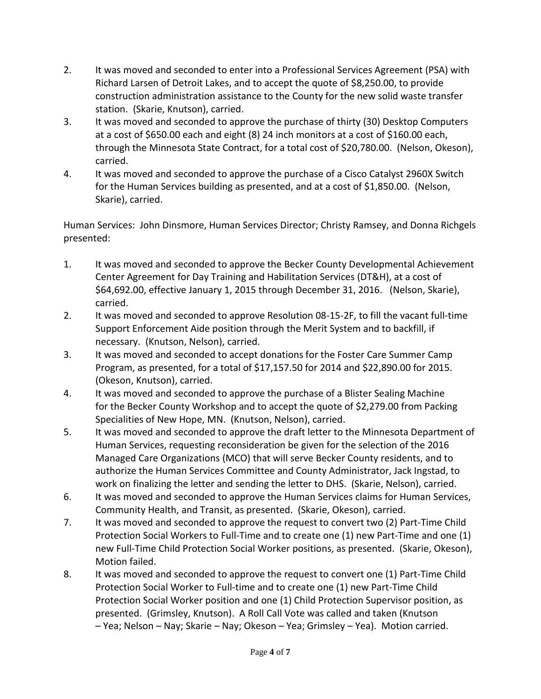- 2. It was moved and seconded to enter into a Professional Services Agreement (PSA) with Richard Larsen of Detroit Lakes, and to accept the quote of \$8,250.00, to provide construction administration assistance to the County for the new solid waste transfer station. (Skarie, Knutson), carried.
- 3. It was moved and seconded to approve the purchase of thirty (30) Desktop Computers at a cost of \$650.00 each and eight (8) 24 inch monitors at a cost of \$160.00 each, through the Minnesota State Contract, for a total cost of \$20,780.00. (Nelson, Okeson), carried.
- 4. It was moved and seconded to approve the purchase of a Cisco Catalyst 2960X Switch for the Human Services building as presented, and at a cost of \$1,850.00. (Nelson, Skarie), carried.

Human Services: John Dinsmore, Human Services Director; Christy Ramsey, and Donna Richgels presented:

- 1. It was moved and seconded to approve the Becker County Developmental Achievement Center Agreement for Day Training and Habilitation Services (DT&H), at a cost of \$64,692.00, effective January 1, 2015 through December 31, 2016. (Nelson, Skarie), carried.
- 2. It was moved and seconded to approve Resolution 08-15-2F, to fill the vacant full-time Support Enforcement Aide position through the Merit System and to backfill, if necessary. (Knutson, Nelson), carried.
- 3. It was moved and seconded to accept donations for the Foster Care Summer Camp Program, as presented, for a total of \$17,157.50 for 2014 and \$22,890.00 for 2015. (Okeson, Knutson), carried.
- 4. It was moved and seconded to approve the purchase of a Blister Sealing Machine for the Becker County Workshop and to accept the quote of \$2,279.00 from Packing Specialities of New Hope, MN. (Knutson, Nelson), carried.
- 5. It was moved and seconded to approve the draft letter to the Minnesota Department of Human Services, requesting reconsideration be given for the selection of the 2016 Managed Care Organizations (MCO) that will serve Becker County residents, and to authorize the Human Services Committee and County Administrator, Jack Ingstad, to work on finalizing the letter and sending the letter to DHS. (Skarie, Nelson), carried.
- 6. It was moved and seconded to approve the Human Services claims for Human Services, Community Health, and Transit, as presented. (Skarie, Okeson), carried.
- 7. It was moved and seconded to approve the request to convert two (2) Part-Time Child Protection Social Workers to Full-Time and to create one (1) new Part-Time and one (1) new Full-Time Child Protection Social Worker positions, as presented. (Skarie, Okeson), Motion failed.
- 8. It was moved and seconded to approve the request to convert one (1) Part-Time Child Protection Social Worker to Full-time and to create one (1) new Part-Time Child Protection Social Worker position and one (1) Child Protection Supervisor position, as presented. (Grimsley, Knutson). A Roll Call Vote was called and taken (Knutson – Yea; Nelson – Nay; Skarie – Nay; Okeson – Yea; Grimsley – Yea). Motion carried.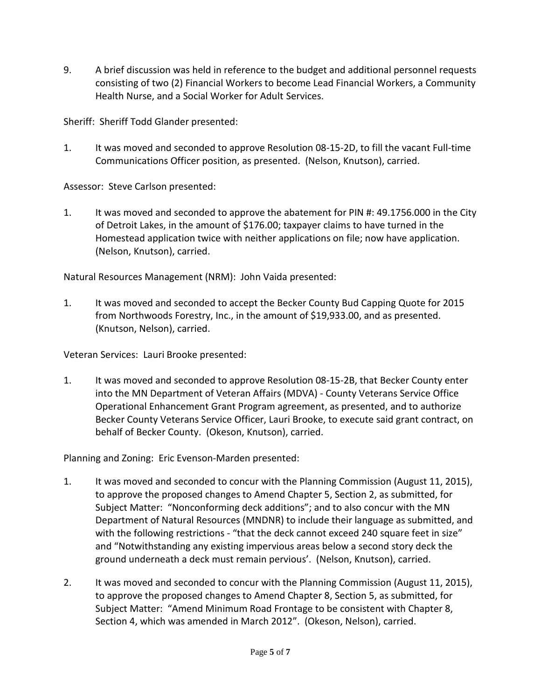9. A brief discussion was held in reference to the budget and additional personnel requests consisting of two (2) Financial Workers to become Lead Financial Workers, a Community Health Nurse, and a Social Worker for Adult Services.

Sheriff: Sheriff Todd Glander presented:

1. It was moved and seconded to approve Resolution 08-15-2D, to fill the vacant Full-time Communications Officer position, as presented. (Nelson, Knutson), carried.

Assessor: Steve Carlson presented:

1. It was moved and seconded to approve the abatement for PIN #: 49.1756.000 in the City of Detroit Lakes, in the amount of \$176.00; taxpayer claims to have turned in the Homestead application twice with neither applications on file; now have application. (Nelson, Knutson), carried.

Natural Resources Management (NRM): John Vaida presented:

1. It was moved and seconded to accept the Becker County Bud Capping Quote for 2015 from Northwoods Forestry, Inc., in the amount of \$19,933.00, and as presented. (Knutson, Nelson), carried.

Veteran Services: Lauri Brooke presented:

1. It was moved and seconded to approve Resolution 08-15-2B, that Becker County enter into the MN Department of Veteran Affairs (MDVA) - County Veterans Service Office Operational Enhancement Grant Program agreement, as presented, and to authorize Becker County Veterans Service Officer, Lauri Brooke, to execute said grant contract, on behalf of Becker County. (Okeson, Knutson), carried.

Planning and Zoning: Eric Evenson-Marden presented:

- 1. It was moved and seconded to concur with the Planning Commission (August 11, 2015), to approve the proposed changes to Amend Chapter 5, Section 2, as submitted, for Subject Matter: "Nonconforming deck additions"; and to also concur with the MN Department of Natural Resources (MNDNR) to include their language as submitted, and with the following restrictions - "that the deck cannot exceed 240 square feet in size" and "Notwithstanding any existing impervious areas below a second story deck the ground underneath a deck must remain pervious'. (Nelson, Knutson), carried.
- 2. It was moved and seconded to concur with the Planning Commission (August 11, 2015), to approve the proposed changes to Amend Chapter 8, Section 5, as submitted, for Subject Matter: "Amend Minimum Road Frontage to be consistent with Chapter 8, Section 4, which was amended in March 2012". (Okeson, Nelson), carried.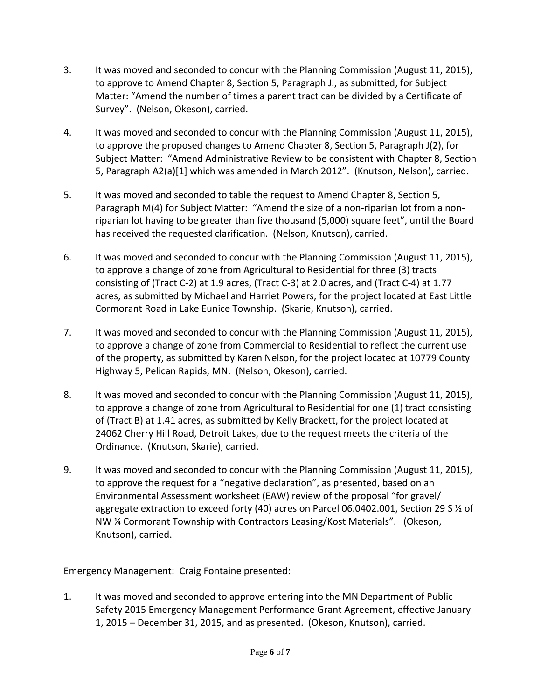- 3. It was moved and seconded to concur with the Planning Commission (August 11, 2015), to approve to Amend Chapter 8, Section 5, Paragraph J., as submitted, for Subject Matter: "Amend the number of times a parent tract can be divided by a Certificate of Survey". (Nelson, Okeson), carried.
- 4. It was moved and seconded to concur with the Planning Commission (August 11, 2015), to approve the proposed changes to Amend Chapter 8, Section 5, Paragraph J(2), for Subject Matter: "Amend Administrative Review to be consistent with Chapter 8, Section 5, Paragraph A2(a)[1] which was amended in March 2012". (Knutson, Nelson), carried.
- 5. It was moved and seconded to table the request to Amend Chapter 8, Section 5, Paragraph M(4) for Subject Matter: "Amend the size of a non-riparian lot from a nonriparian lot having to be greater than five thousand (5,000) square feet", until the Board has received the requested clarification. (Nelson, Knutson), carried.
- 6. It was moved and seconded to concur with the Planning Commission (August 11, 2015), to approve a change of zone from Agricultural to Residential for three (3) tracts consisting of (Tract C-2) at 1.9 acres, (Tract C-3) at 2.0 acres, and (Tract C-4) at 1.77 acres, as submitted by Michael and Harriet Powers, for the project located at East Little Cormorant Road in Lake Eunice Township. (Skarie, Knutson), carried.
- 7. It was moved and seconded to concur with the Planning Commission (August 11, 2015), to approve a change of zone from Commercial to Residential to reflect the current use of the property, as submitted by Karen Nelson, for the project located at 10779 County Highway 5, Pelican Rapids, MN. (Nelson, Okeson), carried.
- 8. It was moved and seconded to concur with the Planning Commission (August 11, 2015), to approve a change of zone from Agricultural to Residential for one (1) tract consisting of (Tract B) at 1.41 acres, as submitted by Kelly Brackett, for the project located at 24062 Cherry Hill Road, Detroit Lakes, due to the request meets the criteria of the Ordinance. (Knutson, Skarie), carried.
- 9. It was moved and seconded to concur with the Planning Commission (August 11, 2015), to approve the request for a "negative declaration", as presented, based on an Environmental Assessment worksheet (EAW) review of the proposal "for gravel/ aggregate extraction to exceed forty (40) acres on Parcel 06.0402.001, Section 29 S ½ of NW ¼ Cormorant Township with Contractors Leasing/Kost Materials". (Okeson, Knutson), carried.

Emergency Management: Craig Fontaine presented:

1. It was moved and seconded to approve entering into the MN Department of Public Safety 2015 Emergency Management Performance Grant Agreement, effective January 1, 2015 – December 31, 2015, and as presented. (Okeson, Knutson), carried.